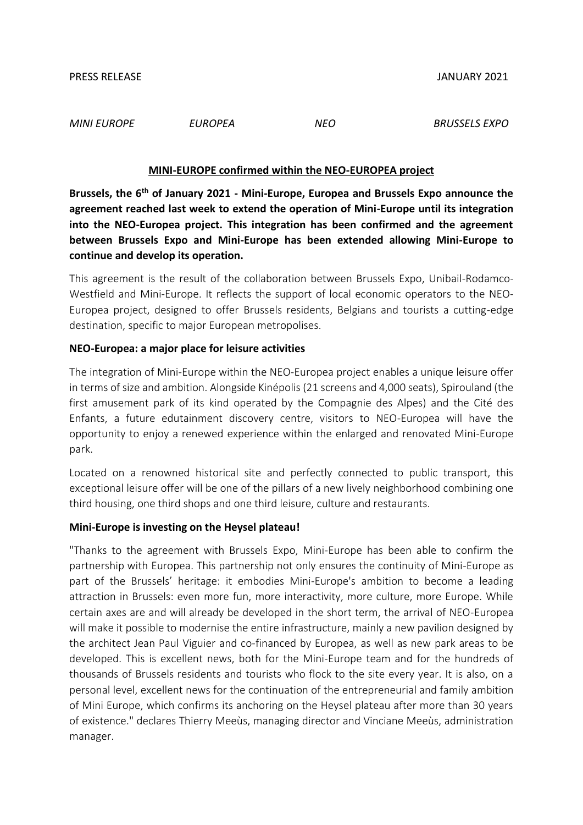*MINI EUROPE EUROPEA NEO BRUSSELS EXPO*

## **MINI-EUROPE confirmed within the NEO-EUROPEA project**

**Brussels, the 6th of January 2021 - Mini-Europe, Europea and Brussels Expo announce the agreement reached last week to extend the operation of Mini-Europe until its integration into the NEO-Europea project. This integration has been confirmed and the agreement between Brussels Expo and Mini-Europe has been extended allowing Mini-Europe to continue and develop its operation.**

This agreement is the result of the collaboration between Brussels Expo, Unibail-Rodamco-Westfield and Mini-Europe. It reflects the support of local economic operators to the NEO-Europea project, designed to offer Brussels residents, Belgians and tourists a cutting-edge destination, specific to major European metropolises.

## **NEO-Europea: a major place for leisure activities**

The integration of Mini-Europe within the NEO-Europea project enables a unique leisure offer in terms of size and ambition. Alongside Kinépolis (21 screens and 4,000 seats), Spirouland (the first amusement park of its kind operated by the Compagnie des Alpes) and the Cité des Enfants, a future edutainment discovery centre, visitors to NEO-Europea will have the opportunity to enjoy a renewed experience within the enlarged and renovated Mini-Europe park.

Located on a renowned historical site and perfectly connected to public transport, this exceptional leisure offer will be one of the pillars of a new lively neighborhood combining one third housing, one third shops and one third leisure, culture and restaurants.

## **Mini-Europe is investing on the Heysel plateau!**

"Thanks to the agreement with Brussels Expo, Mini-Europe has been able to confirm the partnership with Europea. This partnership not only ensures the continuity of Mini-Europe as part of the Brussels' heritage: it embodies Mini-Europe's ambition to become a leading attraction in Brussels: even more fun, more interactivity, more culture, more Europe. While certain axes are and will already be developed in the short term, the arrival of NEO-Europea will make it possible to modernise the entire infrastructure, mainly a new pavilion designed by the architect Jean Paul Viguier and co-financed by Europea, as well as new park areas to be developed. This is excellent news, both for the Mini-Europe team and for the hundreds of thousands of Brussels residents and tourists who flock to the site every year. It is also, on a personal level, excellent news for the continuation of the entrepreneurial and family ambition of Mini Europe, which confirms its anchoring on the Heysel plateau after more than 30 years of existence." declares Thierry Meeùs, managing director and Vinciane Meeùs, administration manager.